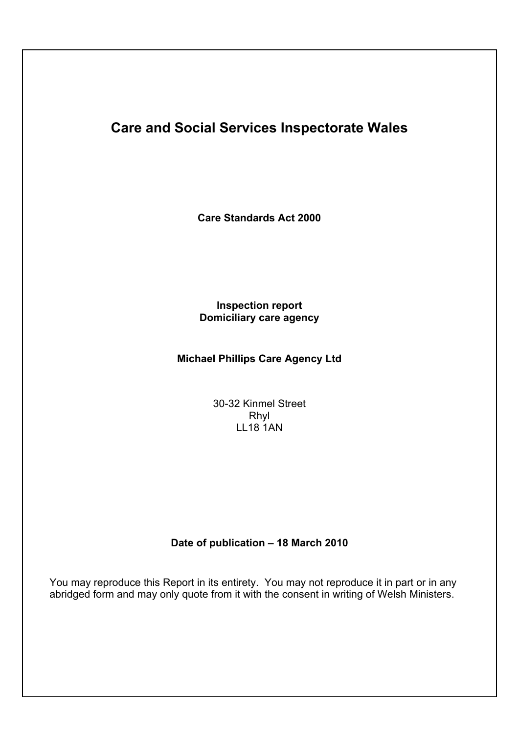# **Care and Social Services Inspectorate Wales**

**Care Standards Act 2000**

# **Inspection report Domiciliary care agency**

# **Michael Phillips Care Agency Ltd**

30-32 Kinmel Street Rhyl LL18 1AN

# **Date of publication – 18 March 2010**

You may reproduce this Report in its entirety. You may not reproduce it in part or in any abridged form and may only quote from it with the consent in writing of Welsh Ministers.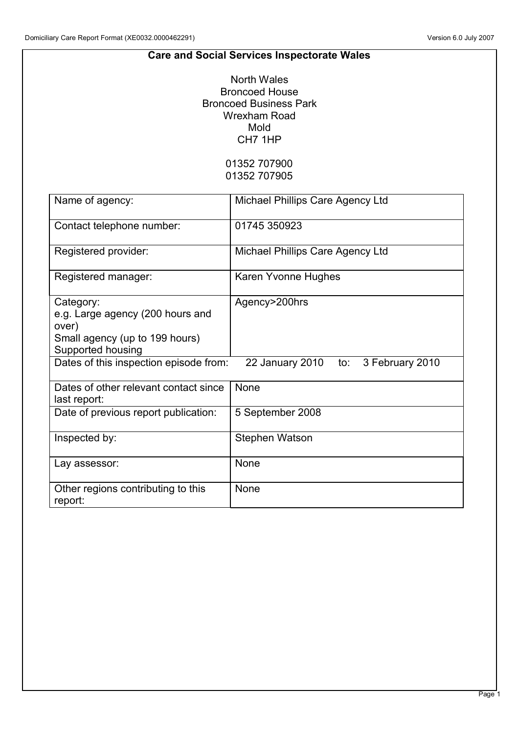# **Care and Social Services Inspectorate Wales**

North Wales Broncoed House Broncoed Business Park Wrexham Road Mold CH7 1HP

# 01352 707900 01352 707905

| Name of agency:                                                                                               | Michael Phillips Care Agency Ltd       |
|---------------------------------------------------------------------------------------------------------------|----------------------------------------|
| Contact telephone number:                                                                                     | 01745 350923                           |
| Registered provider:                                                                                          | Michael Phillips Care Agency Ltd       |
| Registered manager:                                                                                           | Karen Yvonne Hughes                    |
| Category:<br>e.g. Large agency (200 hours and<br>over)<br>Small agency (up to 199 hours)<br>Supported housing | Agency>200hrs                          |
| Dates of this inspection episode from:                                                                        | 22 January 2010 to:<br>3 February 2010 |
| Dates of other relevant contact since<br>last report:                                                         | None                                   |
| Date of previous report publication:                                                                          | 5 September 2008                       |
| Inspected by:                                                                                                 | Stephen Watson                         |
| Lay assessor:                                                                                                 | None                                   |
| Other regions contributing to this<br>report:                                                                 | None                                   |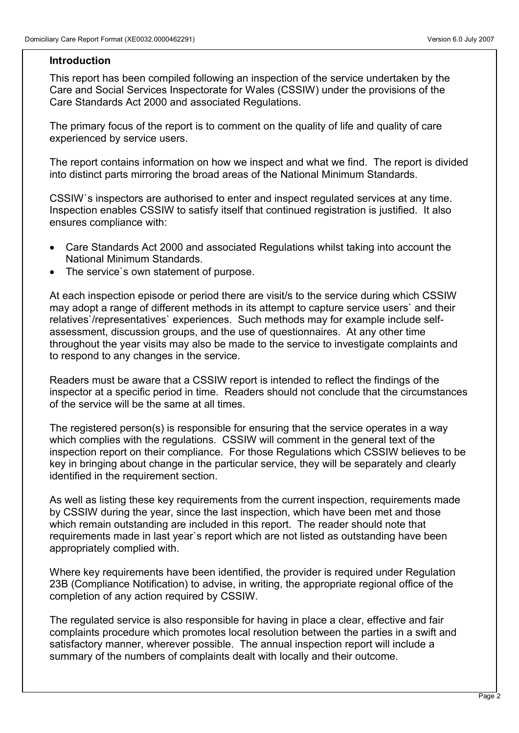## **Introduction**

This report has been compiled following an inspection of the service undertaken by the Care and Social Services Inspectorate for Wales (CSSIW) under the provisions of the Care Standards Act 2000 and associated Regulations.

The primary focus of the report is to comment on the quality of life and quality of care experienced by service users.

The report contains information on how we inspect and what we find. The report is divided into distinct parts mirroring the broad areas of the National Minimum Standards.

CSSIW`s inspectors are authorised to enter and inspect regulated services at any time. Inspection enables CSSIW to satisfy itself that continued registration is justified. It also ensures compliance with:

- Care Standards Act 2000 and associated Regulations whilst taking into account the National Minimum Standards.
- The service`s own statement of purpose.

At each inspection episode or period there are visit/s to the service during which CSSIW may adopt a range of different methods in its attempt to capture service users` and their relatives`/representatives` experiences. Such methods may for example include selfassessment, discussion groups, and the use of questionnaires. At any other time throughout the year visits may also be made to the service to investigate complaints and to respond to any changes in the service.

Readers must be aware that a CSSIW report is intended to reflect the findings of the inspector at a specific period in time. Readers should not conclude that the circumstances of the service will be the same at all times.

The registered person(s) is responsible for ensuring that the service operates in a way which complies with the regulations. CSSIW will comment in the general text of the inspection report on their compliance. For those Regulations which CSSIW believes to be key in bringing about change in the particular service, they will be separately and clearly identified in the requirement section.

As well as listing these key requirements from the current inspection, requirements made by CSSIW during the year, since the last inspection, which have been met and those which remain outstanding are included in this report. The reader should note that requirements made in last year`s report which are not listed as outstanding have been appropriately complied with.

Where key requirements have been identified, the provider is required under Regulation 23B (Compliance Notification) to advise, in writing, the appropriate regional office of the completion of any action required by CSSIW.

The regulated service is also responsible for having in place a clear, effective and fair complaints procedure which promotes local resolution between the parties in a swift and satisfactory manner, wherever possible. The annual inspection report will include a summary of the numbers of complaints dealt with locally and their outcome.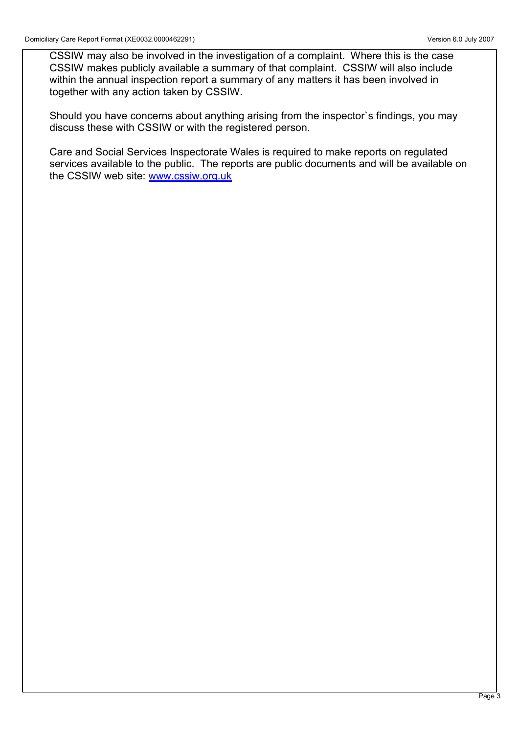CSSIW may also be involved in the investigation of a complaint. Where this is the case CSSIW makes publicly available a summary of that complaint. CSSIW will also include within the annual inspection report a summary of any matters it has been involved in together with any action taken by CSSIW.

Should you have concerns about anything arising from the inspector`s findings, you may discuss these with CSSIW or with the registered person.

Care and Social Services Inspectorate Wales is required to make reports on regulated services available to the public. The reports are public documents and will be available on the CSSIW web site: www.cssiw.org.uk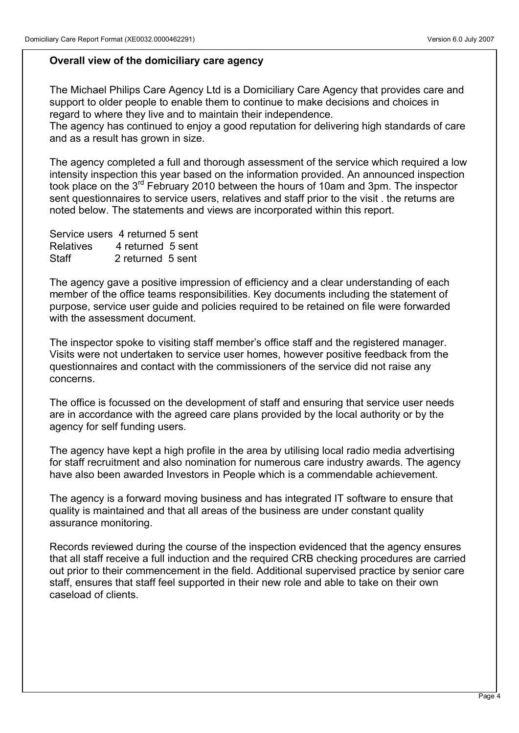# **Overall view of the domiciliary care agency**

The Michael Philips Care Agency Ltd is a Domiciliary Care Agency that provides care and support to older people to enable them to continue to make decisions and choices in regard to where they live and to maintain their independence.

The agency has continued to enjoy a good reputation for delivering high standards of care and as a result has grown in size.

The agency completed a full and thorough assessment of the service which required a low intensity inspection this year based on the information provided. An announced inspection took place on the 3rd February 2010 between the hours of 10am and 3pm. The inspector sent questionnaires to service users, relatives and staff prior to the visit . the returns are noted below. The statements and views are incorporated within this report.

| Service users 4 returned 5 sent |                   |  |
|---------------------------------|-------------------|--|
| <b>Relatives</b>                | 4 returned 5 sent |  |
| Staff                           | 2 returned 5 sent |  |

The agency gave a positive impression of efficiency and a clear understanding of each member of the office teams responsibilities. Key documents including the statement of purpose, service user guide and policies required to be retained on file were forwarded with the assessment document.

The inspector spoke to visiting staff member's office staff and the registered manager. Visits were not undertaken to service user homes, however positive feedback from the questionnaires and contact with the commissioners of the service did not raise any concerns.

The office is focussed on the development of staff and ensuring that service user needs are in accordance with the agreed care plans provided by the local authority or by the agency for self funding users.

The agency have kept a high profile in the area by utilising local radio media advertising for staff recruitment and also nomination for numerous care industry awards. The agency have also been awarded Investors in People which is a commendable achievement.

The agency is a forward moving business and has integrated IT software to ensure that quality is maintained and that all areas of the business are under constant quality assurance monitoring.

Records reviewed during the course of the inspection evidenced that the agency ensures that all staff receive a full induction and the required CRB checking procedures are carried out prior to their commencement in the field. Additional supervised practice by senior care staff, ensures that staff feel supported in their new role and able to take on their own caseload of clients.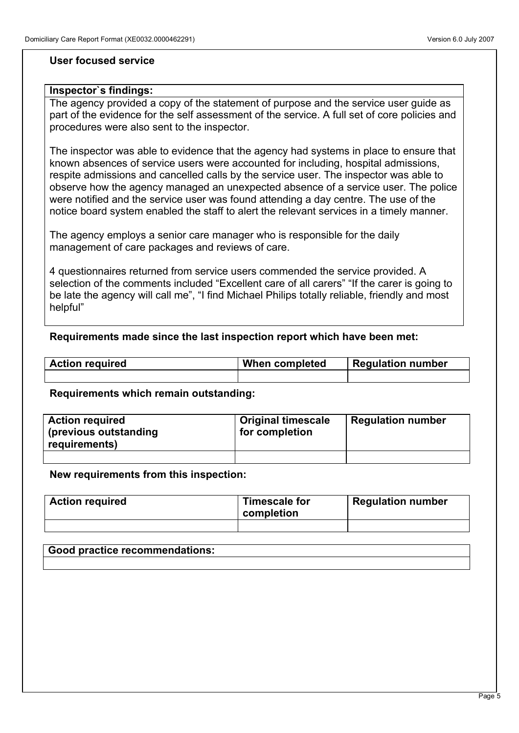#### **User focused service**

#### **Inspector`s findings:**

The agency provided a copy of the statement of purpose and the service user guide as part of the evidence for the self assessment of the service. A full set of core policies and procedures were also sent to the inspector.

The inspector was able to evidence that the agency had systems in place to ensure that known absences of service users were accounted for including, hospital admissions, respite admissions and cancelled calls by the service user. The inspector was able to observe how the agency managed an unexpected absence of a service user. The police were notified and the service user was found attending a day centre. The use of the notice board system enabled the staff to alert the relevant services in a timely manner.

The agency employs a senior care manager who is responsible for the daily management of care packages and reviews of care.

4 questionnaires returned from service users commended the service provided. A selection of the comments included "Excellent care of all carers" "If the carer is going to be late the agency will call me", "I find Michael Philips totally reliable, friendly and most helpful"

## **Requirements made since the last inspection report which have been met:**

| <b>Action required</b> | <b>When completed</b> | <b>Regulation number</b> |
|------------------------|-----------------------|--------------------------|
|                        |                       |                          |

#### **Requirements which remain outstanding:**

| <b>Action required</b><br>(previous outstanding<br>requirements) | <b>Original timescale</b><br>for completion | <b>Regulation number</b> |
|------------------------------------------------------------------|---------------------------------------------|--------------------------|
|                                                                  |                                             |                          |

#### **New requirements from this inspection:**

| <b>Action required</b> | Timescale for<br>completion | <b>Regulation number</b> |
|------------------------|-----------------------------|--------------------------|
|                        |                             |                          |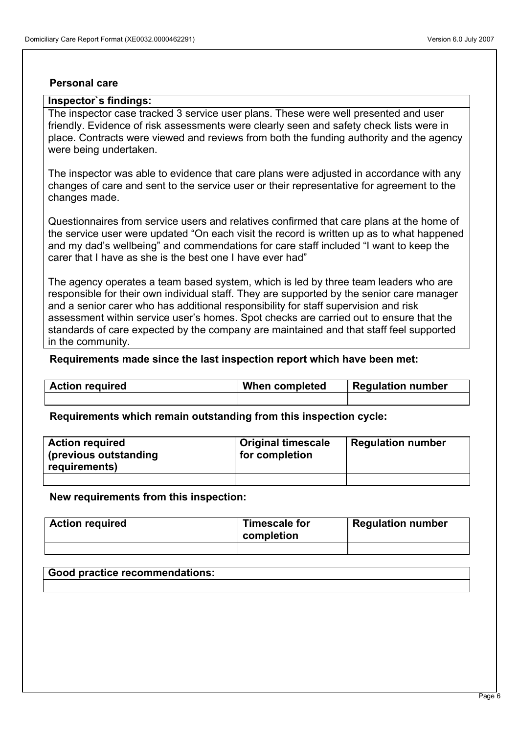#### **Personal care**

# **Inspector`s findings:**

The inspector case tracked 3 service user plans. These were well presented and user friendly. Evidence of risk assessments were clearly seen and safety check lists were in place. Contracts were viewed and reviews from both the funding authority and the agency were being undertaken.

The inspector was able to evidence that care plans were adjusted in accordance with any changes of care and sent to the service user or their representative for agreement to the changes made.

Questionnaires from service users and relatives confirmed that care plans at the home of the service user were updated "On each visit the record is written up as to what happened and my dad's wellbeing" and commendations for care staff included "I want to keep the carer that I have as she is the best one I have ever had"

The agency operates a team based system, which is led by three team leaders who are responsible for their own individual staff. They are supported by the senior care manager and a senior carer who has additional responsibility for staff supervision and risk assessment within service user's homes. Spot checks are carried out to ensure that the standards of care expected by the company are maintained and that staff feel supported in the community.

#### **Requirements made since the last inspection report which have been met:**

| <b>Action required</b> | When completed | <b>Regulation number</b> |
|------------------------|----------------|--------------------------|
|                        |                |                          |

**Requirements which remain outstanding from this inspection cycle:**

| <b>Action required</b><br>(previous outstanding<br>requirements) | <b>Original timescale</b><br>for completion | <b>Regulation number</b> |
|------------------------------------------------------------------|---------------------------------------------|--------------------------|
|                                                                  |                                             |                          |

**New requirements from this inspection:**

| <b>Action required</b> | Timescale for<br>completion | <b>Regulation number</b> |
|------------------------|-----------------------------|--------------------------|
|                        |                             |                          |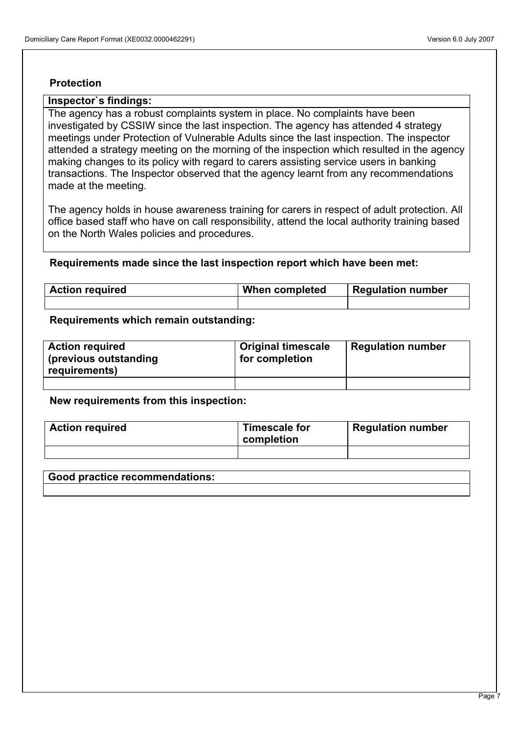# **Protection**

# **Inspector`s findings:**

The agency has a robust complaints system in place. No complaints have been investigated by CSSIW since the last inspection. The agency has attended 4 strategy meetings under Protection of Vulnerable Adults since the last inspection. The inspector attended a strategy meeting on the morning of the inspection which resulted in the agency making changes to its policy with regard to carers assisting service users in banking transactions. The Inspector observed that the agency learnt from any recommendations made at the meeting.

The agency holds in house awareness training for carers in respect of adult protection. All office based staff who have on call responsibility, attend the local authority training based on the North Wales policies and procedures.

#### **Requirements made since the last inspection report which have been met:**

| <b>Action required</b> | When completed | <b>Regulation number</b> |
|------------------------|----------------|--------------------------|
|                        |                |                          |

#### **Requirements which remain outstanding:**

| <b>Action required</b><br>(previous outstanding)<br>requirements) | <b>Original timescale</b><br>for completion | <b>Regulation number</b> |
|-------------------------------------------------------------------|---------------------------------------------|--------------------------|
|                                                                   |                                             |                          |

#### **New requirements from this inspection:**

| <b>Action required</b> | Timescale for<br>completion | <b>Regulation number</b> |
|------------------------|-----------------------------|--------------------------|
|                        |                             |                          |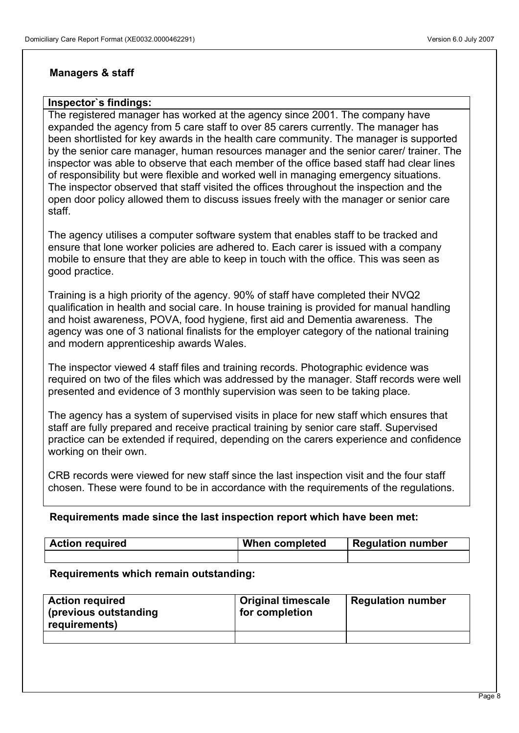# **Managers & staff**

# **Inspector`s findings:**

The registered manager has worked at the agency since 2001. The company have expanded the agency from 5 care staff to over 85 carers currently. The manager has been shortlisted for key awards in the health care community. The manager is supported by the senior care manager, human resources manager and the senior carer/ trainer. The inspector was able to observe that each member of the office based staff had clear lines of responsibility but were flexible and worked well in managing emergency situations. The inspector observed that staff visited the offices throughout the inspection and the open door policy allowed them to discuss issues freely with the manager or senior care staff.

The agency utilises a computer software system that enables staff to be tracked and ensure that lone worker policies are adhered to. Each carer is issued with a company mobile to ensure that they are able to keep in touch with the office. This was seen as good practice.

Training is a high priority of the agency. 90% of staff have completed their NVQ2 qualification in health and social care. In house training is provided for manual handling and hoist awareness, POVA, food hygiene, first aid and Dementia awareness. The agency was one of 3 national finalists for the employer category of the national training and modern apprenticeship awards Wales.

The inspector viewed 4 staff files and training records. Photographic evidence was required on two of the files which was addressed by the manager. Staff records were well presented and evidence of 3 monthly supervision was seen to be taking place.

The agency has a system of supervised visits in place for new staff which ensures that staff are fully prepared and receive practical training by senior care staff. Supervised practice can be extended if required, depending on the carers experience and confidence working on their own.

CRB records were viewed for new staff since the last inspection visit and the four staff chosen. These were found to be in accordance with the requirements of the regulations.

## **Requirements made since the last inspection report which have been met:**

| <b>Action required</b> | When completed | <b>Regulation number</b> |
|------------------------|----------------|--------------------------|
|                        |                |                          |

#### **Requirements which remain outstanding:**

| <b>Action required</b><br>(previous outstanding<br>requirements) | Original timescale<br>for completion | <b>Regulation number</b> |
|------------------------------------------------------------------|--------------------------------------|--------------------------|
|                                                                  |                                      |                          |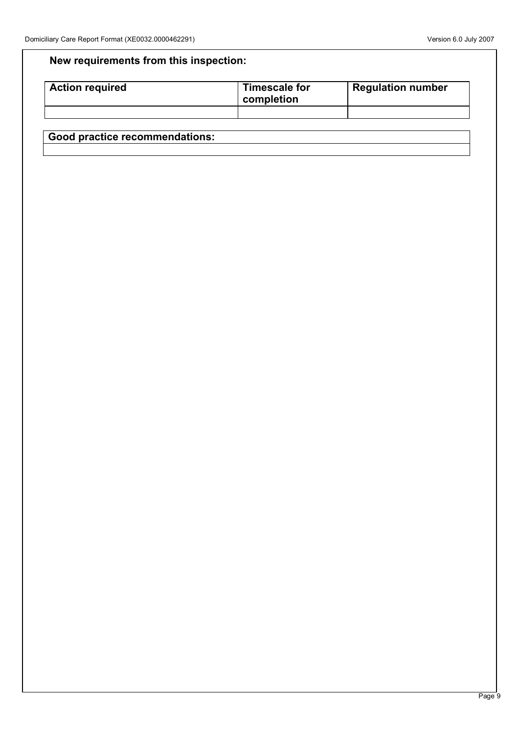# **New requirements from this inspection:**

| <b>Action required</b> | Timescale for<br>completion | <b>Regulation number</b> |
|------------------------|-----------------------------|--------------------------|
|                        |                             |                          |